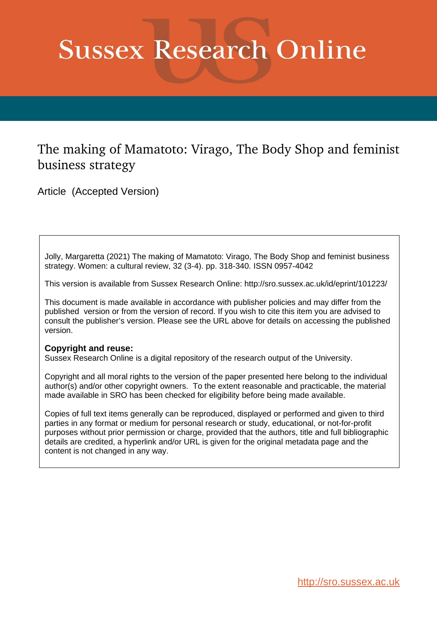# **Sussex Research Online**

## The making of Mamatoto: Virago, The Body Shop and feminist business strategy

Article (Accepted Version)

Jolly, Margaretta (2021) The making of Mamatoto: Virago, The Body Shop and feminist business strategy. Women: a cultural review, 32 (3-4). pp. 318-340. ISSN 0957-4042

This version is available from Sussex Research Online: http://sro.sussex.ac.uk/id/eprint/101223/

This document is made available in accordance with publisher policies and may differ from the published version or from the version of record. If you wish to cite this item you are advised to consult the publisher's version. Please see the URL above for details on accessing the published version.

#### **Copyright and reuse:**

Sussex Research Online is a digital repository of the research output of the University.

Copyright and all moral rights to the version of the paper presented here belong to the individual author(s) and/or other copyright owners. To the extent reasonable and practicable, the material made available in SRO has been checked for eligibility before being made available.

Copies of full text items generally can be reproduced, displayed or performed and given to third parties in any format or medium for personal research or study, educational, or not-for-profit purposes without prior permission or charge, provided that the authors, title and full bibliographic details are credited, a hyperlink and/or URL is given for the original metadata page and the content is not changed in any way.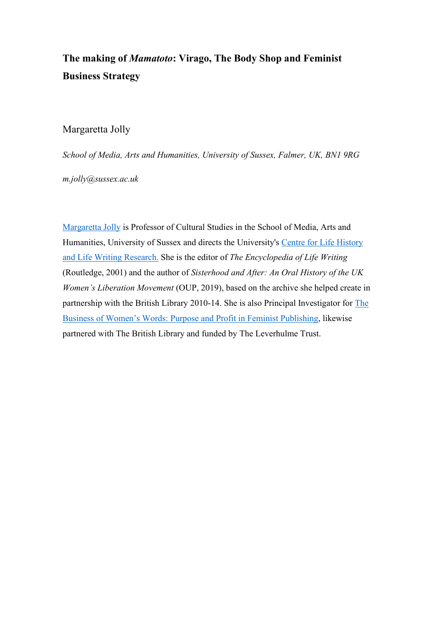## **The making of** *Mamatoto***: Virago, The Body Shop and Feminist Business Strategy**

### Margaretta Jolly

*School of Media, Arts and Humanities, University of Sussex, Falmer, UK, BN1 9RG*

*[m.jolly@sussex.ac.uk](mailto:m.jolly@sussex.ac.uk)*

[Margaretta Jolly](http://www.sussex.ac.uk/profiles/16251) is Professor of Cultural Studies in the School of Media, Arts and Humanities, University of Sussex and directs the University's [Centre for Life History](http://www.sussex.ac.uk/clhlwr/)  [and Life Writing Research.](http://www.sussex.ac.uk/clhlwr/) She is the editor of *The Encyclopedia of Life Writing*  (Routledge, 2001) and the author of *Sisterhood and After: An Oral History of the UK Women's Liberation Movement* (OUP, 2019), based on the archive she helped create in partnership with the British Library 2010-14. She is also Principal Investigator for [The](http://blogs.sussex.ac.uk/businessofwomenswords/)  [Business of Women's Words: Purpose and Profit in Feminist Publishing,](http://blogs.sussex.ac.uk/businessofwomenswords/) likewise partnered with The British Library and funded by The Leverhulme Trust.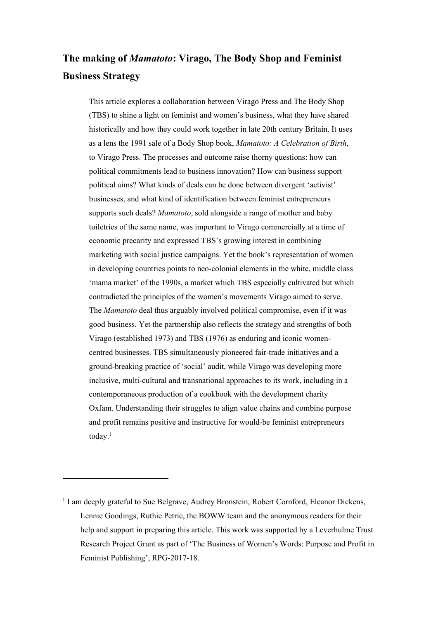## **The making of** *Mamatoto***: Virago, The Body Shop and Feminist Business Strategy**

This article explores a collaboration between Virago Press and The Body Shop (TBS) to shine a light on feminist and women's business, what they have shared historically and how they could work together in late 20th century Britain. It uses as a lens the 1991 sale of a Body Shop book, *Mamatoto: A Celebration of Birth*, to Virago Press. The processes and outcome raise thorny questions: how can political commitments lead to business innovation? How can business support political aims? What kinds of deals can be done between divergent 'activist' businesses, and what kind of identification between feminist entrepreneurs supports such deals? *Mamatoto*, sold alongside a range of mother and baby toiletries of the same name, was important to Virago commercially at a time of economic precarity and expressed TBS's growing interest in combining marketing with social justice campaigns. Yet the book's representation of women in developing countries points to neo-colonial elements in the white, middle class 'mama market' of the 1990s, a market which TBS especially cultivated but which contradicted the principles of the women's movements Virago aimed to serve. The *Mamatoto* deal thus arguably involved political compromise, even if it was good business. Yet the partnership also reflects the strategy and strengths of both Virago (established 1973) and TBS (1976) as enduring and iconic womencentred businesses. TBS simultaneously pioneered fair-trade initiatives and a ground-breaking practice of 'social' audit, while Virago was developing more inclusive, multi-cultural and transnational approaches to its work, including in a contemporaneous production of a cookbook with the development charity Oxfam. Understanding their struggles to align value chains and combine purpose and profit remains positive and instructive for would-be feminist entrepreneurs today.<sup>[1](#page-2-0)</sup>

<span id="page-2-0"></span><sup>&</sup>lt;sup>1</sup> I am deeply grateful to Sue Belgrave, Audrey Bronstein, Robert Cornford, Eleanor Dickens, Lennie Goodings, Ruthie Petrie, the BOWW team and the anonymous readers for their help and support in preparing this article. This work was supported by a Leverhulme Trust Research Project Grant as part of 'The Business of Women's Words: Purpose and Profit in Feminist Publishing', RPG-2017-18.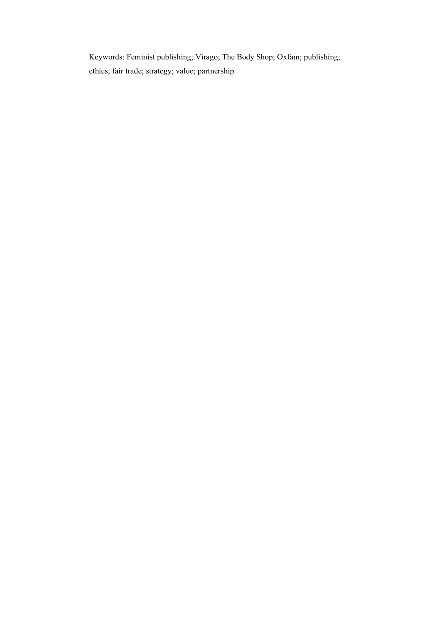Keywords: Feminist publishing; Virago; The Body Shop; Oxfam; publishing; ethics; fair trade; strategy; value; partnership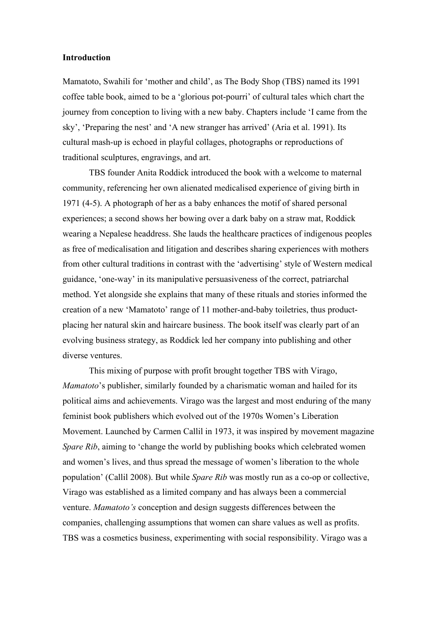#### **Introduction**

Mamatoto, Swahili for 'mother and child', as The Body Shop (TBS) named its 1991 coffee table book, aimed to be a 'glorious pot-pourri' of cultural tales which chart the journey from conception to living with a new baby. Chapters include 'I came from the sky', 'Preparing the nest' and 'A new stranger has arrived' (Aria et al. 1991). Its cultural mash-up is echoed in playful collages, photographs or reproductions of traditional sculptures, engravings, and art.

TBS founder Anita Roddick introduced the book with a welcome to maternal community, referencing her own alienated medicalised experience of giving birth in 1971 (4-5). A photograph of her as a baby enhances the motif of shared personal experiences; a second shows her bowing over a dark baby on a straw mat, Roddick wearing a Nepalese headdress. She lauds the healthcare practices of indigenous peoples as free of medicalisation and litigation and describes sharing experiences with mothers from other cultural traditions in contrast with the 'advertising' style of Western medical guidance, 'one-way' in its manipulative persuasiveness of the correct, patriarchal method. Yet alongside she explains that many of these rituals and stories informed the creation of a new 'Mamatoto' range of 11 mother-and-baby toiletries, thus productplacing her natural skin and haircare business. The book itself was clearly part of an evolving business strategy, as Roddick led her company into publishing and other diverse ventures.

This mixing of purpose with profit brought together TBS with Virago, *Mamatoto*'s publisher, similarly founded by a charismatic woman and hailed for its political aims and achievements. Virago was the largest and most enduring of the many feminist book publishers which evolved out of the 1970s Women's Liberation Movement. Launched by Carmen Callil in 1973, it was inspired by movement magazine *Spare Rib*, aiming to 'change the world by publishing books which celebrated women and women's lives, and thus spread the message of women's liberation to the whole population' (Callil 2008). But while *Spare Rib* was mostly run as a co-op or collective, Virago was established as a limited company and has always been a commercial venture. *Mamatoto's* conception and design suggests differences between the companies, challenging assumptions that women can share values as well as profits. TBS was a cosmetics business, experimenting with social responsibility. Virago was a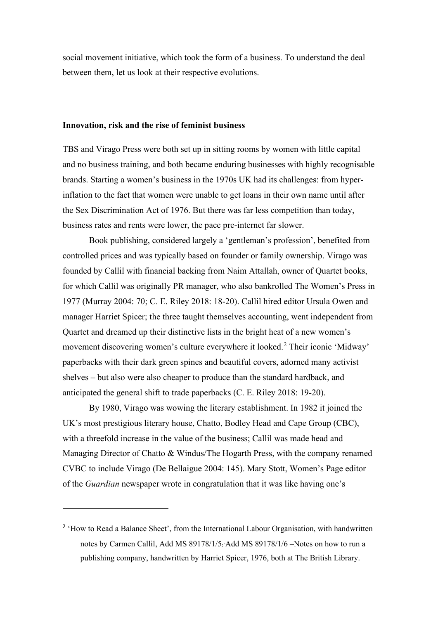social movement initiative, which took the form of a business. To understand the deal between them, let us look at their respective evolutions.

#### **Innovation, risk and the rise of feminist business**

TBS and Virago Press were both set up in sitting rooms by women with little capital and no business training, and both became enduring businesses with highly recognisable brands. Starting a women's business in the 1970s UK had its challenges: from hyperinflation to the fact that women were unable to get loans in their own name until after the Sex Discrimination Act of 1976. But there was far less competition than today, business rates and rents were lower, the pace pre-internet far slower.

Book publishing, considered largely a 'gentleman's profession', benefited from controlled prices and was typically based on founder or family ownership. Virago was founded by Callil with financial backing from Naim Attallah, owner of Quartet books, for which Callil was originally PR manager, who also bankrolled The Women's Press in 1977 (Murray 2004: 70; C. E. Riley 2018: 18-20). Callil hired editor Ursula Owen and manager Harriet Spicer; the three taught themselves accounting, went independent from Quartet and dreamed up their distinctive lists in the bright heat of a new women's movement discovering women's culture everywhere it looked.<sup>[2](#page-5-0)</sup> Their iconic 'Midway' paperbacks with their dark green spines and beautiful covers, adorned many activist shelves – but also were also cheaper to produce than the standard hardback, and anticipated the general shift to trade paperbacks (C. E. Riley 2018: 19-20).

By 1980, Virago was wowing the literary establishment. In 1982 it joined the UK's most prestigious literary house, Chatto, Bodley Head and Cape Group (CBC), with a threefold increase in the value of the business; Callil was made head and Managing Director of Chatto & Windus/The Hogarth Press, with the company renamed CVBC to include Virago (De Bellaigue 2004: 145). Mary Stott, Women's Page editor of the *Guardian* newspaper wrote in congratulation that it was like having one's

<span id="page-5-0"></span><sup>&</sup>lt;sup>2</sup> 'How to Read a Balance Sheet', from the International Labour Organisation, with handwritten notes by Carmen Callil, Add MS 89178/1/5; 'Add MS 89178/1/6 –Notes on how to run a publishing company, handwritten by Harriet Spicer, 1976, both at The British Library.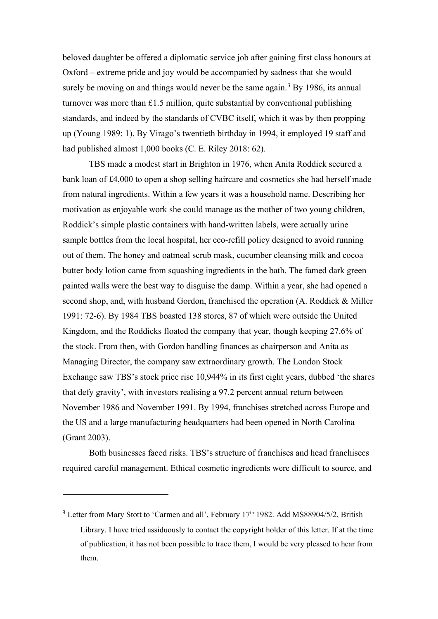beloved daughter be offered a diplomatic service job after gaining first class honours at Oxford – extreme pride and joy would be accompanied by sadness that she would surely be moving on and things would never be the same again.<sup>[3](#page-6-0)</sup> By 1986, its annual turnover was more than  $\pounds$ 1.5 million, quite substantial by conventional publishing standards, and indeed by the standards of CVBC itself, which it was by then propping up (Young 1989: 1). By Virago's twentieth birthday in 1994, it employed 19 staff and had published almost 1,000 books (C. E. Riley 2018: 62).

TBS made a modest start in Brighton in 1976, when Anita Roddick secured a bank loan of £4,000 to open a shop selling haircare and cosmetics she had herself made from natural ingredients. Within a few years it was a household name. Describing her motivation as enjoyable work she could manage as the mother of two young children, Roddick's simple plastic containers with hand-written labels, were actually urine sample bottles from the local hospital, her eco-refill policy designed to avoid running out of them. The honey and oatmeal scrub mask, cucumber cleansing milk and cocoa butter body lotion came from squashing ingredients in the bath. The famed dark green painted walls were the best way to disguise the damp. Within a year, she had opened a second shop, and, with husband Gordon, franchised the operation (A. Roddick & Miller 1991: 72-6). By 1984 TBS boasted 138 stores, 87 of which were outside the United Kingdom, and the Roddicks floated the company that year, though keeping 27.6% of the stock. From then, with Gordon handling finances as chairperson and Anita as Managing Director, the company saw extraordinary growth. The London Stock Exchange saw TBS's stock price rise 10,944% in its first eight years, dubbed 'the shares that defy gravity', with investors realising a 97.2 percent annual return between November 1986 and November 1991. By 1994, franchises stretched across Europe and the US and a large manufacturing headquarters had been opened in North Carolina (Grant 2003).

Both businesses faced risks. TBS's structure of franchises and head franchisees required careful management. Ethical cosmetic ingredients were difficult to source, and

<span id="page-6-0"></span> $3$  Letter from Mary Stott to 'Carmen and all', February  $17<sup>th</sup>$  1982. Add MS88904/5/2, British Library. I have tried assiduously to contact the copyright holder of this letter. If at the time of publication, it has not been possible to trace them, I would be very pleased to hear from them.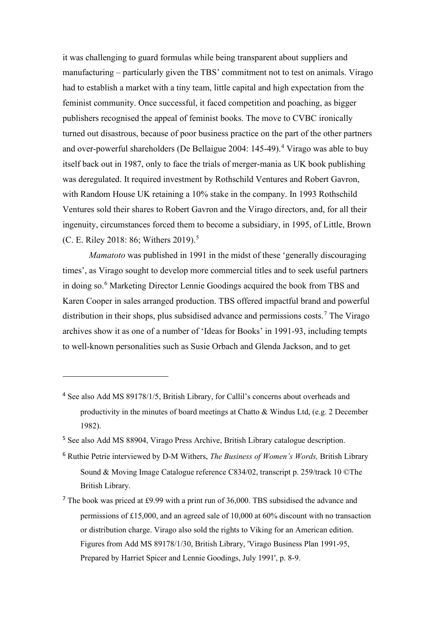it was challenging to guard formulas while being transparent about suppliers and manufacturing – particularly given the TBS' commitment not to test on animals. Virago had to establish a market with a tiny team, little capital and high expectation from the feminist community. Once successful, it faced competition and poaching, as bigger publishers recognised the appeal of feminist books. The move to CVBC ironically turned out disastrous, because of poor business practice on the part of the other partners and over-powerful shareholders (De Bellaigue 2004: 145-49). [4](#page-7-0) Virago was able to buy itself back out in 1987, only to face the trials of merger-mania as UK book publishing was deregulated. It required investment by Rothschild Ventures and Robert Gavron, with Random House UK retaining a 10% stake in the company. In 1993 Rothschild Ventures sold their shares to Robert Gavron and the Virago directors, and, for all their ingenuity, circumstances forced them to become a subsidiary, in 1995, of Little, Brown (C. E. Riley 2018: 86; Withers 2019). [5](#page-7-1)

*Mamatoto* was published in 1991 in the midst of these 'generally discouraging times', as Virago sought to develop more commercial titles and to seek useful partners in doing so. [6](#page-7-2) Marketing Director Lennie Goodings acquired the book from TBS and Karen Cooper in sales arranged production. TBS offered impactful brand and powerful distribution in their shops, plus subsidised advance and permissions costs. [7](#page-7-3) The Virago archives show it as one of a number of 'Ideas for Books' in 1991-93, including tempts to well-known personalities such as Susie Orbach and Glenda Jackson, and to get

<span id="page-7-0"></span><sup>&</sup>lt;sup>4</sup> See also Add MS 89178/1/5, British Library, for Callil's concerns about overheads and productivity in the minutes of board meetings at Chatto & Windus Ltd, (e.g. 2 December 1982).

<span id="page-7-1"></span><sup>5</sup> See also Add MS 88904, Virago Press Archive, British Library catalogue description.

<span id="page-7-2"></span><sup>6</sup> Ruthie Petrie interviewed by D-M Withers, *The Business of Women's Words,* British Library Sound & Moving Image Catalogue reference C834/02, transcript p. 259/track 10 ©The British Library.

<span id="page-7-3"></span><sup>7</sup> The book was priced at £9.99 with a print run of 36,000. TBS subsidised the advance and permissions of £15,000, and an agreed sale of 10,000 at 60% discount with no transaction or distribution charge. Virago also sold the rights to Viking for an American edition. Figures from Add MS 89178/1/30, British Library, 'Virago Business Plan 1991-95, Prepared by Harriet Spicer and Lennie Goodings, July 1991', p. 8-9.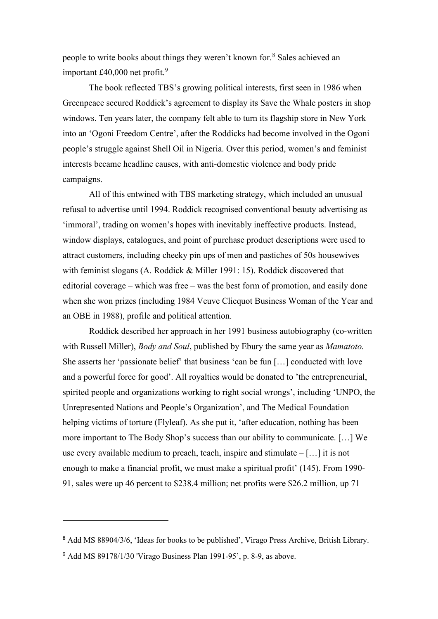people to write books about things they weren't known for.[8](#page-8-0) Sales achieved an important £40,000 net profit. [9](#page-8-1)

The book reflected TBS's growing political interests, first seen in 1986 when Greenpeace secured Roddick's agreement to display its Save the Whale posters in shop windows. Ten years later, the company felt able to turn its flagship store in New York into an 'Ogoni Freedom Centre', after the Roddicks had become involved in the Ogoni people's struggle against Shell Oil in Nigeria. Over this period, women's and feminist interests became headline causes, with anti-domestic violence and body pride campaigns.

All of this entwined with TBS marketing strategy, which included an unusual refusal to advertise until 1994. Roddick recognised conventional beauty advertising as 'immoral', trading on women's hopes with inevitably ineffective products. Instead, window displays, catalogues, and point of purchase product descriptions were used to attract customers, including cheeky pin ups of men and pastiches of 50s housewives with feminist slogans (A. Roddick & Miller 1991: 15). Roddick discovered that editorial coverage – which was free – was the best form of promotion, and easily done when she won prizes (including 1984 Veuve Clicquot Business Woman of the Year and an OBE in 1988), profile and political attention.

Roddick described her approach in her 1991 business autobiography (co-written with Russell Miller), *Body and Soul*, published by Ebury the same year as *Mamatoto.*  She asserts her 'passionate belief' that business 'can be fun […] conducted with love and a powerful force for good'. All royalties would be donated to 'the entrepreneurial, spirited people and organizations working to right social wrongs', including 'UNPO, the Unrepresented Nations and People's Organization', and The Medical Foundation helping victims of torture (Flyleaf). As she put it, 'after education, nothing has been more important to The Body Shop's success than our ability to communicate. […] We use every available medium to preach, teach, inspire and stimulate  $-[...]$  it is not enough to make a financial profit, we must make a spiritual profit' (145). From 1990- 91, sales were up 46 percent to \$238.4 million; net profits were \$26.2 million, up 71

<span id="page-8-0"></span><sup>8</sup> Add MS 88904/3/6, 'Ideas for books to be published', Virago Press Archive, British Library.

<span id="page-8-1"></span><sup>9</sup> Add MS 89178/1/30 'Virago Business Plan 1991-95', p. 8-9, as above.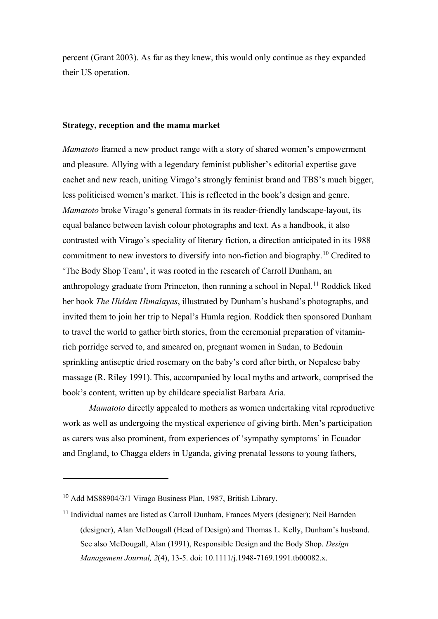percent (Grant 2003). As far as they knew, this would only continue as they expanded their US operation.

#### **Strategy, reception and the mama market**

*Mamatoto* framed a new product range with a story of shared women's empowerment and pleasure. Allying with a legendary feminist publisher's editorial expertise gave cachet and new reach, uniting Virago's strongly feminist brand and TBS's much bigger, less politicised women's market. This is reflected in the book's design and genre. *Mamatoto* broke Virago's general formats in its reader-friendly landscape-layout, its equal balance between lavish colour photographs and text. As a handbook, it also contrasted with Virago's speciality of literary fiction, a direction anticipated in its 1988 commitment to new investors to diversify into non-fiction and biography.<sup>[10](#page-9-0)</sup> Credited to 'The Body Shop Team', it was rooted in the research of Carroll Dunham, an anthropology graduate from Princeton, then running a school in Nepal.<sup>[11](#page-9-1)</sup> Roddick liked her book *The Hidden Himalayas*, illustrated by Dunham's husband's photographs, and invited them to join her trip to Nepal's Humla region. Roddick then sponsored Dunham to travel the world to gather birth stories, from the ceremonial preparation of vitaminrich porridge served to, and smeared on, pregnant women in Sudan, to Bedouin sprinkling antiseptic dried rosemary on the baby's cord after birth, or Nepalese baby massage (R. Riley 1991). This, accompanied by local myths and artwork, comprised the book's content, written up by childcare specialist Barbara Aria.

*Mamatoto* directly appealed to mothers as women undertaking vital reproductive work as well as undergoing the mystical experience of giving birth. Men's participation as carers was also prominent, from experiences of 'sympathy symptoms' in Ecuador and England, to Chagga elders in Uganda, giving prenatal lessons to young fathers,

<span id="page-9-0"></span><sup>10</sup> Add MS88904/3/1 Virago Business Plan, 1987, British Library.

<span id="page-9-1"></span><sup>11</sup> Individual names are listed as Carroll Dunham, Frances Myers (designer); Neil Barnden (designer), Alan McDougall (Head of Design) and Thomas L. Kelly, Dunham's husband. See also McDougall, Alan (1991), Responsible Design and the Body Shop. *Design Management Journal, 2*(4), 13-5. doi: 10.1111/j.1948-7169.1991.tb00082.x.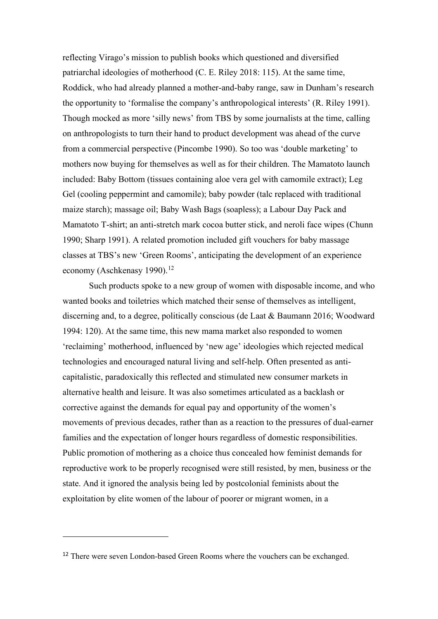reflecting Virago's mission to publish books which questioned and diversified patriarchal ideologies of motherhood (C. E. Riley 2018: 115). At the same time, Roddick, who had already planned a mother-and-baby range, saw in Dunham's research the opportunity to 'formalise the company's anthropological interests' (R. Riley 1991). Though mocked as more 'silly news' from TBS by some journalists at the time, calling on anthropologists to turn their hand to product development was ahead of the curve from a commercial perspective (Pincombe 1990). So too was 'double marketing' to mothers now buying for themselves as well as for their children. The Mamatoto launch included: Baby Bottom (tissues containing aloe vera gel with camomile extract); Leg Gel (cooling peppermint and camomile); baby powder (talc replaced with traditional maize starch); massage oil; Baby Wash Bags (soapless); a Labour Day Pack and Mamatoto T-shirt; an anti-stretch mark cocoa butter stick, and neroli face wipes (Chunn 1990; Sharp 1991). A related promotion included gift vouchers for baby massage classes at TBS's new 'Green Rooms', anticipating the development of an experience economy (Aschkenasy 1990).<sup>[12](#page-10-0)</sup>

Such products spoke to a new group of women with disposable income, and who wanted books and toiletries which matched their sense of themselves as intelligent, discerning and, to a degree, politically conscious (de Laat & Baumann 2016; Woodward 1994: 120). At the same time, this new mama market also responded to women 'reclaiming' motherhood, influenced by 'new age' ideologies which rejected medical technologies and encouraged natural living and self-help. Often presented as anticapitalistic, paradoxically this reflected and stimulated new consumer markets in alternative health and leisure. It was also sometimes articulated as a backlash or corrective against the demands for equal pay and opportunity of the women's movements of previous decades, rather than as a reaction to the pressures of dual-earner families and the expectation of longer hours regardless of domestic responsibilities. Public promotion of mothering as a choice thus concealed how feminist demands for reproductive work to be properly recognised were still resisted, by men, business or the state. And it ignored the analysis being led by postcolonial feminists about the exploitation by elite women of the labour of poorer or migrant women, in a

<span id="page-10-0"></span><sup>&</sup>lt;sup>12</sup> There were seven London-based Green Rooms where the vouchers can be exchanged.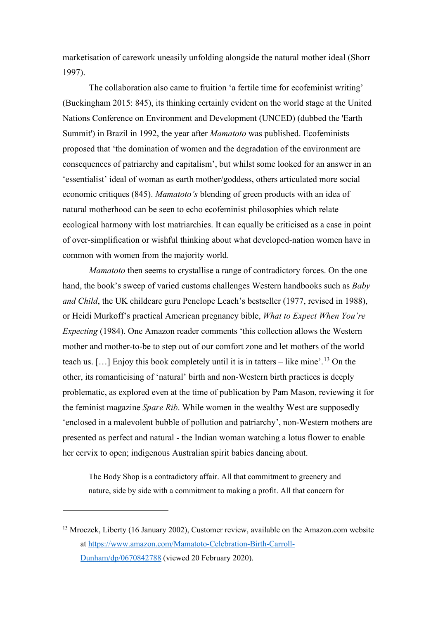marketisation of carework uneasily unfolding alongside the natural mother ideal (Shorr 1997).

The collaboration also came to fruition 'a fertile time for ecofeminist writing' (Buckingham 2015: 845), its thinking certainly evident on the world stage at the United Nations Conference on Environment and Development (UNCED) (dubbed the 'Earth Summit') in Brazil in 1992, the year after *Mamatoto* was published. Ecofeminists proposed that 'the domination of women and the degradation of the environment are consequences of patriarchy and capitalism', but whilst some looked for an answer in an 'essentialist' ideal of woman as earth mother/goddess, others articulated more social economic critiques (845). *Mamatoto's* blending of green products with an idea of natural motherhood can be seen to echo ecofeminist philosophies which relate ecological harmony with lost matriarchies. It can equally be criticised as a case in point of over-simplification or wishful thinking about what developed-nation women have in common with women from the majority world.

*Mamatoto* then seems to crystallise a range of contradictory forces. On the one hand, the book's sweep of varied customs challenges Western handbooks such as *Baby and Child*, the UK childcare guru Penelope Leach's bestseller (1977, revised in 1988), or Heidi Murkoff's practical American pregnancy bible, *What to Expect When You're Expecting* (1984). One Amazon reader comments 'this collection allows the Western mother and mother-to-be to step out of our comfort zone and let mothers of the world teach us.  $[\dots]$  Enjoy this book completely until it is in tatters – like mine'.<sup>[13](#page-11-0)</sup> On the other, its romanticising of 'natural' birth and non-Western birth practices is deeply problematic, as explored even at the time of publication by Pam Mason, reviewing it for the feminist magazine *Spare Rib*. While women in the wealthy West are supposedly 'enclosed in a malevolent bubble of pollution and patriarchy', non-Western mothers are presented as perfect and natural - the Indian woman watching a lotus flower to enable her cervix to open; indigenous Australian spirit babies dancing about.

The Body Shop is a contradictory affair. All that commitment to greenery and nature, side by side with a commitment to making a profit. All that concern for

<span id="page-11-0"></span><sup>&</sup>lt;sup>13</sup> Mroczek, Liberty (16 January 2002), Customer review, available on the Amazon.com website at [https://www.amazon.com/Mamatoto-Celebration-Birth-Carroll-](https://www.amazon.com/Mamatoto-Celebration-Birth-Carroll-Dunham/dp/0670842788)[Dunham/dp/0670842788](https://www.amazon.com/Mamatoto-Celebration-Birth-Carroll-Dunham/dp/0670842788) (viewed 20 February 2020).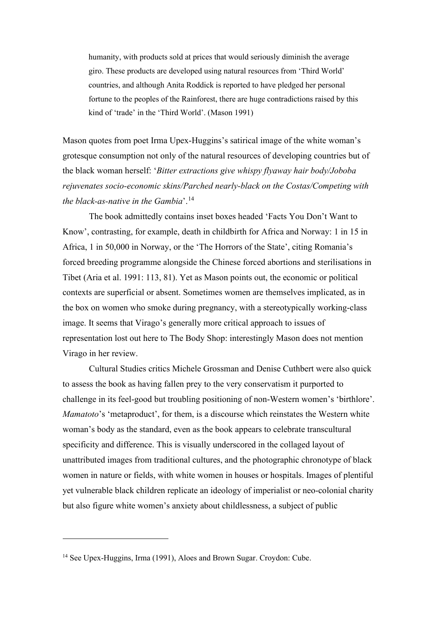humanity, with products sold at prices that would seriously diminish the average giro. These products are developed using natural resources from 'Third World' countries, and although Anita Roddick is reported to have pledged her personal fortune to the peoples of the Rainforest, there are huge contradictions raised by this kind of 'trade' in the 'Third World'. (Mason 1991)

Mason quotes from poet Irma Upex-Huggins's satirical image of the white woman's grotesque consumption not only of the natural resources of developing countries but of the black woman herself: '*Bitter extractions give whispy flyaway hair body/Joboba rejuvenates socio-economic skins/Parched nearly-black on the Costas/Competing with the black-as-native in the Gambia*'. [14](#page-12-0)

The book admittedly contains inset boxes headed 'Facts You Don't Want to Know', contrasting, for example, death in childbirth for Africa and Norway: 1 in 15 in Africa, 1 in 50,000 in Norway, or the 'The Horrors of the State', citing Romania's forced breeding programme alongside the Chinese forced abortions and sterilisations in Tibet (Aria et al. 1991: 113, 81). Yet as Mason points out, the economic or political contexts are superficial or absent. Sometimes women are themselves implicated, as in the box on women who smoke during pregnancy, with a stereotypically working-class image. It seems that Virago's generally more critical approach to issues of representation lost out here to The Body Shop: interestingly Mason does not mention Virago in her review.

Cultural Studies critics Michele Grossman and Denise Cuthbert were also quick to assess the book as having fallen prey to the very conservatism it purported to challenge in its feel-good but troubling positioning of non-Western women's 'birthlore'. *Mamatoto*'s 'metaproduct', for them, is a discourse which reinstates the Western white woman's body as the standard, even as the book appears to celebrate transcultural specificity and difference. This is visually underscored in the collaged layout of unattributed images from traditional cultures, and the photographic chronotype of black women in nature or fields, with white women in houses or hospitals. Images of plentiful yet vulnerable black children replicate an ideology of imperialist or neo-colonial charity but also figure white women's anxiety about childlessness, a subject of public

<span id="page-12-0"></span><sup>&</sup>lt;sup>14</sup> See Upex-Huggins, Irma (1991), Aloes and Brown Sugar. Croydon: Cube.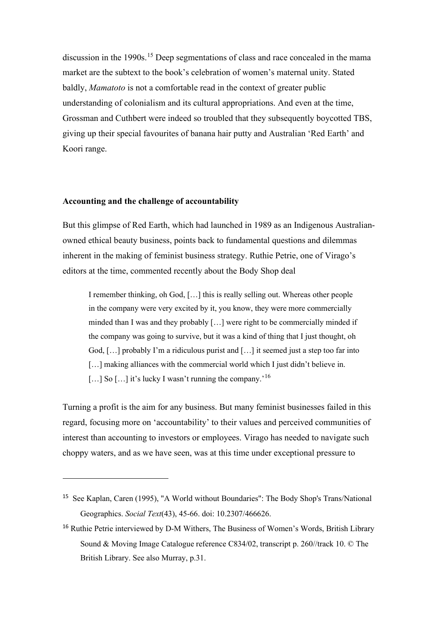discussion in the 1990s.<sup>[15](#page-13-0)</sup> Deep segmentations of class and race concealed in the mama market are the subtext to the book's celebration of women's maternal unity. Stated baldly, *Mamatoto* is not a comfortable read in the context of greater public understanding of colonialism and its cultural appropriations. And even at the time, Grossman and Cuthbert were indeed so troubled that they subsequently boycotted TBS, giving up their special favourites of banana hair putty and Australian 'Red Earth' and Koori range.

#### **Accounting and the challenge of accountability**

But this glimpse of Red Earth, which had launched in 1989 as an Indigenous Australianowned ethical beauty business, points back to fundamental questions and dilemmas inherent in the making of feminist business strategy. Ruthie Petrie, one of Virago's editors at the time, commented recently about the Body Shop deal

I remember thinking, oh God, […] this is really selling out. Whereas other people in the company were very excited by it, you know, they were more commercially minded than I was and they probably […] were right to be commercially minded if the company was going to survive, but it was a kind of thing that I just thought, oh God, […] probably I'm a ridiculous purist and […] it seemed just a step too far into [...] making alliances with the commercial world which I just didn't believe in. [...] So  $\left[ \ldots \right]$  it's lucky I wasn't running the company.<sup>[16](#page-13-1)</sup>

Turning a profit is the aim for any business. But many feminist businesses failed in this regard, focusing more on 'accountability' to their values and perceived communities of interest than accounting to investors or employees. Virago has needed to navigate such choppy waters, and as we have seen, was at this time under exceptional pressure to

<span id="page-13-0"></span><sup>15</sup> See Kaplan, Caren (1995), "A World without Boundaries": The Body Shop's Trans/National Geographics. *Social Text*(43), 45-66. doi: 10.2307/466626.

<span id="page-13-1"></span><sup>&</sup>lt;sup>16</sup> Ruthie Petrie interviewed by D-M Withers, The Business of Women's Words, British Library Sound & Moving Image Catalogue reference C834/02, transcript p. 260//track 10. © The British Library. See also Murray, p.31.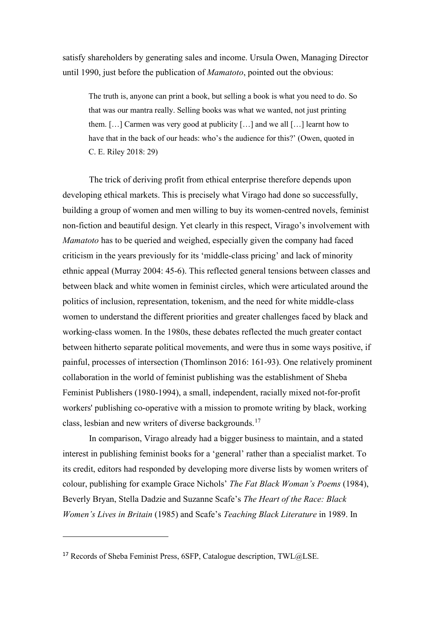satisfy shareholders by generating sales and income. Ursula Owen, Managing Director until 1990, just before the publication of *Mamatoto*, pointed out the obvious:

The truth is, anyone can print a book, but selling a book is what you need to do. So that was our mantra really. Selling books was what we wanted, not just printing them. […] Carmen was very good at publicity […] and we all […] learnt how to have that in the back of our heads: who's the audience for this?' (Owen, quoted in C. E. Riley 2018: 29)

The trick of deriving profit from ethical enterprise therefore depends upon developing ethical markets. This is precisely what Virago had done so successfully, building a group of women and men willing to buy its women-centred novels, feminist non-fiction and beautiful design. Yet clearly in this respect, Virago's involvement with *Mamatoto* has to be queried and weighed, especially given the company had faced criticism in the years previously for its 'middle-class pricing' and lack of minority ethnic appeal (Murray 2004: 45-6). This reflected general tensions between classes and between black and white women in feminist circles, which were articulated around the politics of inclusion, representation, tokenism, and the need for white middle-class women to understand the different priorities and greater challenges faced by black and working-class women. In the 1980s, these debates reflected the much greater contact between hitherto separate political movements, and were thus in some ways positive, if painful, processes of intersection (Thomlinson 2016: 161-93). One relatively prominent collaboration in the world of feminist publishing was the establishment of Sheba Feminist Publishers (1980-1994), a small, independent, racially mixed not-for-profit workers' publishing co-operative with a mission to promote writing by black, working class, lesbian and new writers of diverse backgrounds.[17](#page-14-0)

In comparison, Virago already had a bigger business to maintain, and a stated interest in publishing feminist books for a 'general' rather than a specialist market. To its credit, editors had responded by developing more diverse lists by women writers of colour, publishing for example Grace Nichols' *The Fat Black Woman's Poems* (1984), Beverly Bryan, Stella Dadzie and Suzanne Scafe's *The Heart of the Race: Black Women's Lives in Britain* (1985) and Scafe's *Teaching Black Literature* in 1989. In

<span id="page-14-0"></span> $17$  Records of Sheba Feminist Press, 6SFP, Catalogue description, TWL $@LSE$ .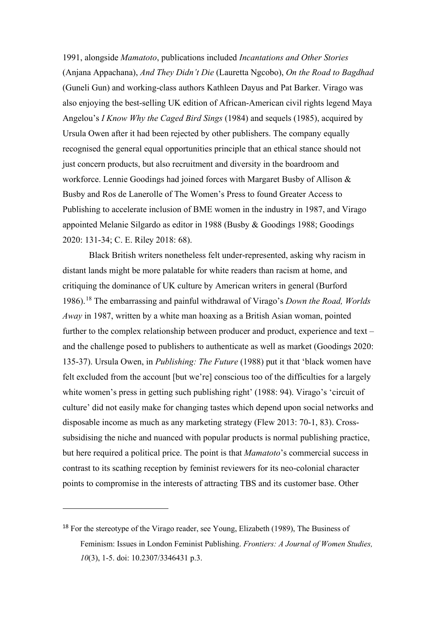1991, alongside *Mamatoto*, publications included *Incantations and Other Stories*  (Anjana Appachana), *And They Didn't Die* (Lauretta Ngcobo), *On the Road to Bagdhad*  (Guneli Gun) and working-class authors Kathleen Dayus and Pat Barker. Virago was also enjoying the best-selling UK edition of African-American civil rights legend Maya Angelou's *I Know Why the Caged Bird Sings* (1984) and sequels (1985), acquired by Ursula Owen after it had been rejected by other publishers. The company equally recognised the general equal opportunities principle that an ethical stance should not just concern products, but also recruitment and diversity in the boardroom and workforce. Lennie Goodings had joined forces with Margaret Busby of Allison & Busby and Ros de Lanerolle of The Women's Press to found Greater Access to Publishing to accelerate inclusion of BME women in the industry in 1987, and Virago appointed Melanie Silgardo as editor in 1988 (Busby & Goodings 1988; Goodings 2020: 131-34; C. E. Riley 2018: 68).

Black British writers nonetheless felt under-represented, asking why racism in distant lands might be more palatable for white readers than racism at home, and critiquing the dominance of UK culture by American writers in general (Burford 1986). [18](#page-15-0) The embarrassing and painful withdrawal of Virago's *Down the Road, Worlds Away* in 1987, written by a white man hoaxing as a British Asian woman, pointed further to the complex relationship between producer and product, experience and text – and the challenge posed to publishers to authenticate as well as market (Goodings 2020: 135-37). Ursula Owen, in *Publishing: The Future* (1988) put it that 'black women have felt excluded from the account [but we're] conscious too of the difficulties for a largely white women's press in getting such publishing right' (1988: 94). Virago's 'circuit of culture' did not easily make for changing tastes which depend upon social networks and disposable income as much as any marketing strategy (Flew 2013: 70-1, 83). Crosssubsidising the niche and nuanced with popular products is normal publishing practice, but here required a political price. The point is that *Mamatoto*'s commercial success in contrast to its scathing reception by feminist reviewers for its neo-colonial character points to compromise in the interests of attracting TBS and its customer base. Other

<span id="page-15-0"></span><sup>&</sup>lt;sup>18</sup> For the stereotype of the Virago reader, see Young, Elizabeth (1989), The Business of Feminism: Issues in London Feminist Publishing. *Frontiers: A Journal of Women Studies, 10*(3), 1-5. doi: 10.2307/3346431 p.3.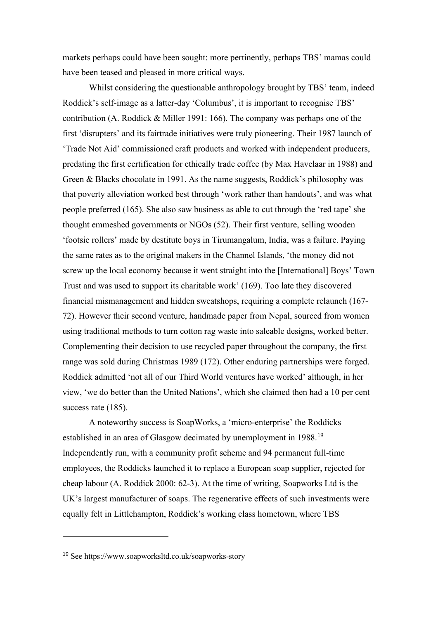markets perhaps could have been sought: more pertinently, perhaps TBS' mamas could have been teased and pleased in more critical ways.

Whilst considering the questionable anthropology brought by TBS' team, indeed Roddick's self-image as a latter-day 'Columbus', it is important to recognise TBS' contribution (A. Roddick & Miller 1991: 166). The company was perhaps one of the first 'disrupters' and its fairtrade initiatives were truly pioneering. Their 1987 launch of 'Trade Not Aid' commissioned craft products and worked with independent producers, predating the first certification for ethically trade coffee (by Max Havelaar in 1988) and Green & Blacks chocolate in 1991. As the name suggests, Roddick's philosophy was that poverty alleviation worked best through 'work rather than handouts', and was what people preferred (165). She also saw business as able to cut through the 'red tape' she thought emmeshed governments or NGOs (52). Their first venture, selling wooden 'footsie rollers' made by destitute boys in Tirumangalum, India, was a failure. Paying the same rates as to the original makers in the Channel Islands, 'the money did not screw up the local economy because it went straight into the [International] Boys' Town Trust and was used to support its charitable work' (169). Too late they discovered financial mismanagement and hidden sweatshops, requiring a complete relaunch (167- 72). However their second venture, handmade paper from Nepal, sourced from women using traditional methods to turn cotton rag waste into saleable designs, worked better. Complementing their decision to use recycled paper throughout the company, the first range was sold during Christmas 1989 (172). Other enduring partnerships were forged. Roddick admitted 'not all of our Third World ventures have worked' although, in her view, 'we do better than the United Nations', which she claimed then had a 10 per cent success rate  $(185)$ .

A noteworthy success is SoapWorks, a 'micro-enterprise' the Roddicks established in an area of Glasgow decimated by unemployment in [19](#page-16-0)88.<sup>19</sup> Independently run, with a community profit scheme and 94 permanent full-time employees, the Roddicks launched it to replace a European soap supplier, rejected for cheap labour (A. Roddick 2000: 62-3). At the time of writing, Soapworks Ltd is the UK's largest manufacturer of soaps. The regenerative effects of such investments were equally felt in Littlehampton, Roddick's working class hometown, where TBS

<span id="page-16-0"></span><sup>19</sup> See https://www.soapworksltd.co.uk/soapworks-story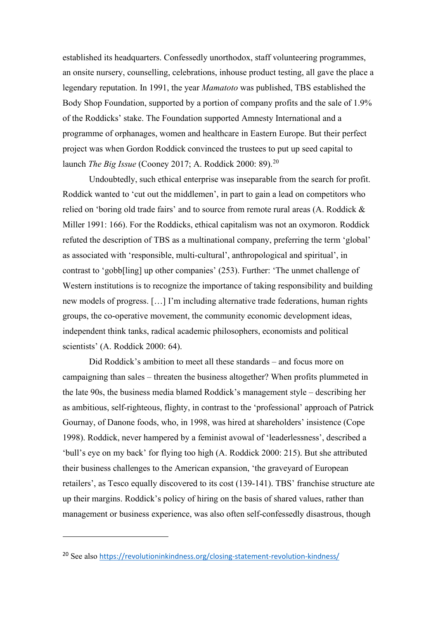established its headquarters. Confessedly unorthodox, staff volunteering programmes, an onsite nursery, counselling, celebrations, inhouse product testing, all gave the place a legendary reputation. In 1991, the year *Mamatoto* was published, TBS established the Body Shop Foundation, supported by a portion of company profits and the sale of 1.9% of the Roddicks' stake. The Foundation supported Amnesty International and a programme of orphanages, women and healthcare in Eastern Europe. But their perfect project was when Gordon Roddick convinced the trustees to put up seed capital to launch *The Big Issue* (Cooney 2017; A. Roddick 2000: 89). [20](#page-17-0)

Undoubtedly, such ethical enterprise was inseparable from the search for profit. Roddick wanted to 'cut out the middlemen', in part to gain a lead on competitors who relied on 'boring old trade fairs' and to source from remote rural areas (A. Roddick & Miller 1991: 166). For the Roddicks, ethical capitalism was not an oxymoron. Roddick refuted the description of TBS as a multinational company, preferring the term 'global' as associated with 'responsible, multi-cultural', anthropological and spiritual', in contrast to 'gobb[ling] up other companies' (253). Further: 'The unmet challenge of Western institutions is to recognize the importance of taking responsibility and building new models of progress. […] I'm including alternative trade federations, human rights groups, the co-operative movement, the community economic development ideas, independent think tanks, radical academic philosophers, economists and political scientists' (A. Roddick 2000: 64).

Did Roddick's ambition to meet all these standards – and focus more on campaigning than sales – threaten the business altogether? When profits plummeted in the late 90s, the business media blamed Roddick's management style – describing her as ambitious, self-righteous, flighty, in contrast to the 'professional' approach of Patrick Gournay, of Danone foods, who, in 1998, was hired at shareholders' insistence (Cope 1998). Roddick, never hampered by a feminist avowal of 'leaderlessness', described a 'bull's eye on my back' for flying too high (A. Roddick 2000: 215). But she attributed their business challenges to the American expansion, 'the graveyard of European retailers', as Tesco equally discovered to its cost (139-141). TBS' franchise structure ate up their margins. Roddick's policy of hiring on the basis of shared values, rather than management or business experience, was also often self-confessedly disastrous, though

<span id="page-17-0"></span><sup>&</sup>lt;sup>20</sup> See also <https://revolutioninkindness.org/closing-statement-revolution-kindness/>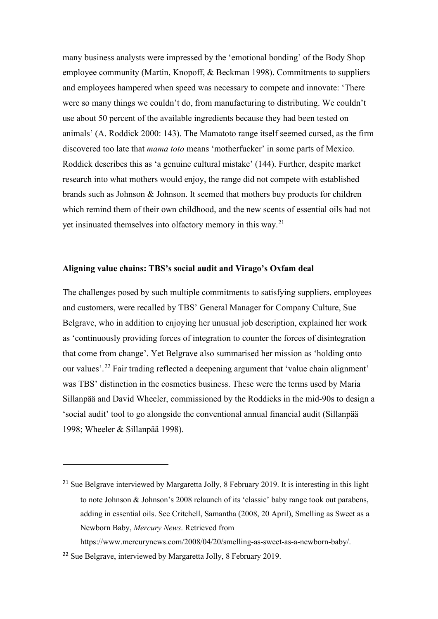many business analysts were impressed by the 'emotional bonding' of the Body Shop employee community (Martin, Knopoff, & Beckman 1998). Commitments to suppliers and employees hampered when speed was necessary to compete and innovate: 'There were so many things we couldn't do, from manufacturing to distributing. We couldn't use about 50 percent of the available ingredients because they had been tested on animals' (A. Roddick 2000: 143). The Mamatoto range itself seemed cursed, as the firm discovered too late that *mama toto* means 'motherfucker' in some parts of Mexico. Roddick describes this as 'a genuine cultural mistake' (144). Further, despite market research into what mothers would enjoy, the range did not compete with established brands such as Johnson & Johnson. It seemed that mothers buy products for children which remind them of their own childhood, and the new scents of essential oils had not yet insinuated themselves into olfactory memory in this way.<sup>[21](#page-18-0)</sup>

#### **Aligning value chains: TBS's social audit and Virago's Oxfam deal**

The challenges posed by such multiple commitments to satisfying suppliers, employees and customers, were recalled by TBS' General Manager for Company Culture, Sue Belgrave, who in addition to enjoying her unusual job description, explained her work as 'continuously providing forces of integration to counter the forces of disintegration that come from change'. Yet Belgrave also summarised her mission as 'holding onto our values'.<sup>[22](#page-18-1)</sup> Fair trading reflected a deepening argument that 'value chain alignment' was TBS' distinction in the cosmetics business. These were the terms used by Maria Sillanpää and David Wheeler, commissioned by the Roddicks in the mid-90s to design a 'social audit' tool to go alongside the conventional annual financial audit (Sillanpää 1998; Wheeler & Sillanpää 1998).

<span id="page-18-0"></span><sup>&</sup>lt;sup>21</sup> Sue Belgrave interviewed by Margaretta Jolly, 8 February 2019. It is interesting in this light to note Johnson & Johnson's 2008 relaunch of its 'classic' baby range took out parabens, adding in essential oils. See Critchell, Samantha (2008, 20 April), Smelling as Sweet as a Newborn Baby, *Mercury News*. Retrieved from

<span id="page-18-1"></span>https://www.mercurynews.com/2008/04/20/smelling-as-sweet-as-a-newborn-baby/. <sup>22</sup> Sue Belgrave, interviewed by Margaretta Jolly, 8 February 2019.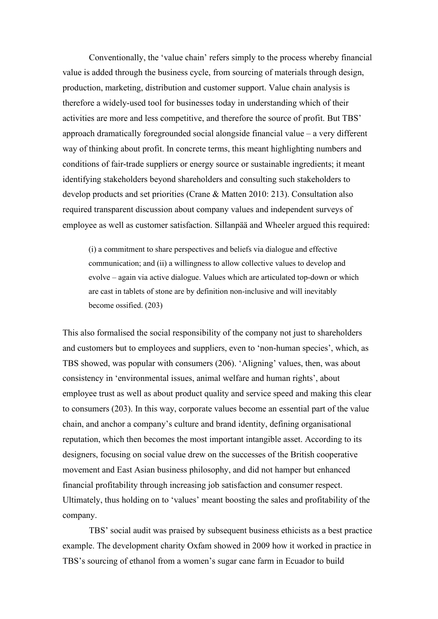Conventionally, the 'value chain' refers simply to the process whereby financial value is added through the business cycle, from sourcing of materials through design, production, marketing, distribution and customer support. Value chain analysis is therefore a widely-used tool for businesses today in understanding which of their activities are more and less competitive, and therefore the source of profit. But TBS' approach dramatically foregrounded social alongside financial value – a very different way of thinking about profit. In concrete terms, this meant highlighting numbers and conditions of fair-trade suppliers or energy source or sustainable ingredients; it meant identifying stakeholders beyond shareholders and consulting such stakeholders to develop products and set priorities (Crane & Matten 2010: 213). Consultation also required transparent discussion about company values and independent surveys of employee as well as customer satisfaction. Sillanpää and Wheeler argued this required:

(i) a commitment to share perspectives and beliefs via dialogue and effective communication; and (ii) a willingness to allow collective values to develop and evolve – again via active dialogue. Values which are articulated top-down or which are cast in tablets of stone are by definition non-inclusive and will inevitably become ossified. (203)

This also formalised the social responsibility of the company not just to shareholders and customers but to employees and suppliers, even to 'non-human species', which, as TBS showed, was popular with consumers (206). 'Aligning' values, then, was about consistency in 'environmental issues, animal welfare and human rights', about employee trust as well as about product quality and service speed and making this clear to consumers (203). In this way, corporate values become an essential part of the value chain, and anchor a company's culture and brand identity, defining organisational reputation, which then becomes the most important intangible asset. According to its designers, focusing on social value drew on the successes of the British cooperative movement and East Asian business philosophy, and did not hamper but enhanced financial profitability through increasing job satisfaction and consumer respect. Ultimately, thus holding on to 'values' meant boosting the sales and profitability of the company.

TBS' social audit was praised by subsequent business ethicists as a best practice example. The development charity Oxfam showed in 2009 how it worked in practice in TBS's sourcing of ethanol from a women's sugar cane farm in Ecuador to build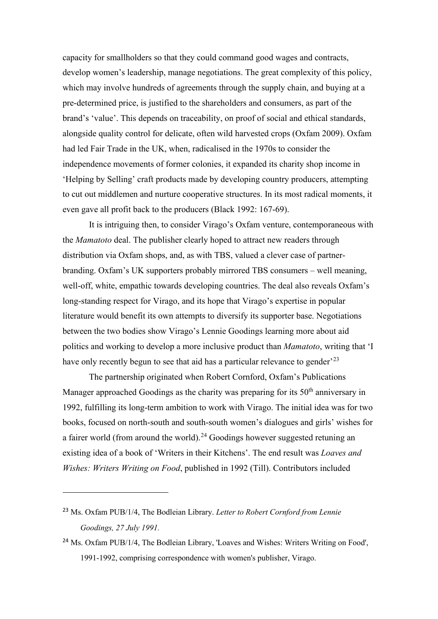capacity for smallholders so that they could command good wages and contracts, develop women's leadership, manage negotiations. The great complexity of this policy, which may involve hundreds of agreements through the supply chain, and buying at a pre-determined price, is justified to the shareholders and consumers, as part of the brand's 'value'. This depends on traceability, on proof of social and ethical standards, alongside quality control for delicate, often wild harvested crops (Oxfam 2009). Oxfam had led Fair Trade in the UK, when, radicalised in the 1970s to consider the independence movements of former colonies, it expanded its charity shop income in 'Helping by Selling' craft products made by developing country producers, attempting to cut out middlemen and nurture cooperative structures. In its most radical moments, it even gave all profit back to the producers (Black 1992: 167-69).

It is intriguing then, to consider Virago's Oxfam venture, contemporaneous with the *Mamatoto* deal. The publisher clearly hoped to attract new readers through distribution via Oxfam shops, and, as with TBS, valued a clever case of partnerbranding. Oxfam's UK supporters probably mirrored TBS consumers – well meaning, well-off, white, empathic towards developing countries. The deal also reveals Oxfam's long-standing respect for Virago, and its hope that Virago's expertise in popular literature would benefit its own attempts to diversify its supporter base. Negotiations between the two bodies show Virago's Lennie Goodings learning more about aid politics and working to develop a more inclusive product than *Mamatoto*, writing that 'I have only recently begun to see that aid has a particular relevance to gender<sup> $23$ </sup>

The partnership originated when Robert Cornford, Oxfam's Publications Manager approached Goodings as the charity was preparing for its  $50<sup>th</sup>$  anniversary in 1992, fulfilling its long-term ambition to work with Virago. The initial idea was for two books, focused on north-south and south-south women's dialogues and girls' wishes for a fairer world (from around the world).<sup>[24](#page-20-1)</sup> Goodings however suggested retuning an existing idea of a book of 'Writers in their Kitchens'. The end result was *Loaves and Wishes: Writers Writing on Food*, published in 1992 (Till). Contributors included

<span id="page-20-0"></span><sup>23</sup> Ms. Oxfam PUB/1/4, The Bodleian Library. *Letter to Robert Cornford from Lennie Goodings, 27 July 1991.*

<span id="page-20-1"></span><sup>&</sup>lt;sup>24</sup> Ms. Oxfam PUB/1/4, The Bodleian Library, 'Loaves and Wishes: Writers Writing on Food', 1991-1992, comprising correspondence with women's publisher, Virago.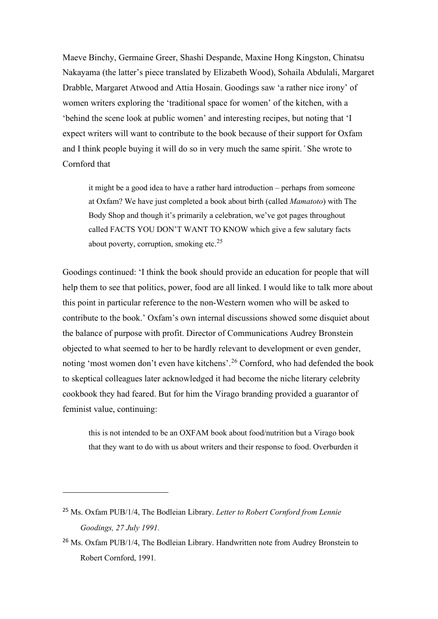Maeve Binchy, Germaine Greer, Shashi Despande, Maxine Hong Kingston, Chinatsu Nakayama (the latter's piece translated by Elizabeth Wood), Sohaila Abdulali, Margaret Drabble, Margaret Atwood and Attia Hosain. Goodings saw 'a rather nice irony' of women writers exploring the 'traditional space for women' of the kitchen, with a 'behind the scene look at public women' and interesting recipes, but noting that 'I expect writers will want to contribute to the book because of their support for Oxfam and I think people buying it will do so in very much the same spirit.*'* She wrote to Cornford that

it might be a good idea to have a rather hard introduction – perhaps from someone at Oxfam? We have just completed a book about birth (called *Mamatoto*) with The Body Shop and though it's primarily a celebration, we've got pages throughout called FACTS YOU DON'T WANT TO KNOW which give a few salutary facts about poverty, corruption, smoking etc.<sup>[25](#page-21-0)</sup>

Goodings continued: 'I think the book should provide an education for people that will help them to see that politics, power, food are all linked. I would like to talk more about this point in particular reference to the non-Western women who will be asked to contribute to the book.' Oxfam's own internal discussions showed some disquiet about the balance of purpose with profit. Director of Communications Audrey Bronstein objected to what seemed to her to be hardly relevant to development or even gender, noting 'most women don't even have kitchens'.<sup>[26](#page-21-1)</sup> Cornford, who had defended the book to skeptical colleagues later acknowledged it had become the niche literary celebrity cookbook they had feared. But for him the Virago branding provided a guarantor of feminist value, continuing:

this is not intended to be an OXFAM book about food/nutrition but a Virago book that they want to do with us about writers and their response to food. Overburden it

<span id="page-21-0"></span><sup>25</sup> Ms. Oxfam PUB/1/4, The Bodleian Library. *Letter to Robert Cornford from Lennie Goodings, 27 July 1991.*

<span id="page-21-1"></span><sup>&</sup>lt;sup>26</sup> Ms. Oxfam PUB/1/4, The Bodleian Library. Handwritten note from Audrey Bronstein to Robert Cornford, 1991*.*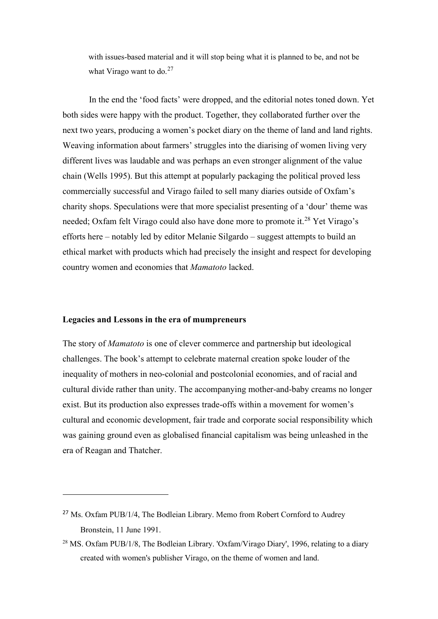with issues-based material and it will stop being what it is planned to be, and not be what Virago want to do. $27$ 

In the end the 'food facts' were dropped, and the editorial notes toned down. Yet both sides were happy with the product. Together, they collaborated further over the next two years, producing a women's pocket diary on the theme of land and land rights. Weaving information about farmers' struggles into the diarising of women living very different lives was laudable and was perhaps an even stronger alignment of the value chain (Wells 1995). But this attempt at popularly packaging the political proved less commercially successful and Virago failed to sell many diaries outside of Oxfam's charity shops. Speculations were that more specialist presenting of a 'dour' theme was needed; Oxfam felt Virago could also have done more to promote it.<sup>[28](#page-22-1)</sup> Yet Virago's efforts here – notably led by editor Melanie Silgardo – suggest attempts to build an ethical market with products which had precisely the insight and respect for developing country women and economies that *Mamatoto* lacked.

#### **Legacies and Lessons in the era of mumpreneurs**

The story of *Mamatoto* is one of clever commerce and partnership but ideological challenges. The book's attempt to celebrate maternal creation spoke louder of the inequality of mothers in neo-colonial and postcolonial economies, and of racial and cultural divide rather than unity. The accompanying mother-and-baby creams no longer exist. But its production also expresses trade-offs within a movement for women's cultural and economic development, fair trade and corporate social responsibility which was gaining ground even as globalised financial capitalism was being unleashed in the era of Reagan and Thatcher.

<span id="page-22-0"></span><sup>&</sup>lt;sup>27</sup> Ms. Oxfam PUB/1/4, The Bodleian Library. Memo from Robert Cornford to Audrey Bronstein, 11 June 1991.

<span id="page-22-1"></span><sup>&</sup>lt;sup>28</sup> MS. Oxfam PUB/1/8, The Bodleian Library. 'Oxfam/Virago Diary', 1996, relating to a diary created with women's publisher Virago, on the theme of women and land.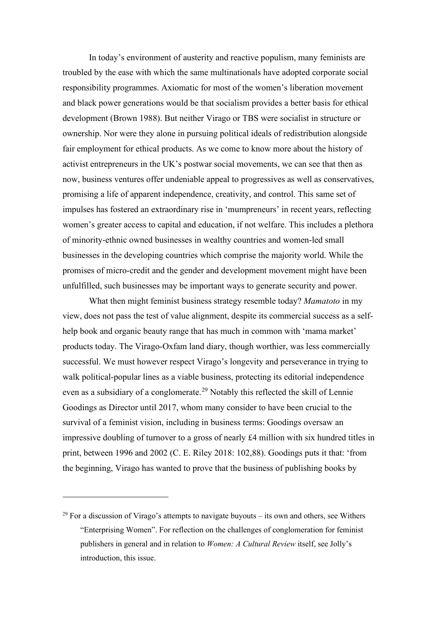In today's environment of austerity and reactive populism, many feminists are troubled by the ease with which the same multinationals have adopted corporate social responsibility programmes. Axiomatic for most of the women's liberation movement and black power generations would be that socialism provides a better basis for ethical development (Brown 1988). But neither Virago or TBS were socialist in structure or ownership. Nor were they alone in pursuing political ideals of redistribution alongside fair employment for ethical products. As we come to know more about the history of activist entrepreneurs in the UK's postwar social movements, we can see that then as now, business ventures offer undeniable appeal to progressives as well as conservatives, promising a life of apparent independence, creativity, and control. This same set of impulses has fostered an extraordinary rise in 'mumpreneurs' in recent years, reflecting women's greater access to capital and education, if not welfare. This includes a plethora of minority-ethnic owned businesses in wealthy countries and women-led small businesses in the developing countries which comprise the majority world. While the promises of micro-credit and the gender and development movement might have been unfulfilled, such businesses may be important ways to generate security and power.

What then might feminist business strategy resemble today? *Mamatoto* in my view, does not pass the test of value alignment, despite its commercial success as a selfhelp book and organic beauty range that has much in common with 'mama market' products today. The Virago-Oxfam land diary, though worthier, was less commercially successful. We must however respect Virago's longevity and perseverance in trying to walk political-popular lines as a viable business, protecting its editorial independence even as a subsidiary of a conglomerate.<sup>[29](#page-23-0)</sup> Notably this reflected the skill of Lennie Goodings as Director until 2017, whom many consider to have been crucial to the survival of a feminist vision, including in business terms: Goodings oversaw an impressive doubling of turnover to a gross of nearly £4 million with six hundred titles in print, between 1996 and 2002 (C. E. Riley 2018: 102,88). Goodings puts it that: 'from the beginning, Virago has wanted to prove that the business of publishing books by

<span id="page-23-0"></span><sup>&</sup>lt;sup>29</sup> For a discussion of Virago's attempts to navigate buyouts – its own and others, see Withers "Enterprising Women". For reflection on the challenges of conglomeration for feminist publishers in general and in relation to *Women: A Cultural Review* itself, see Jolly's introduction, this issue.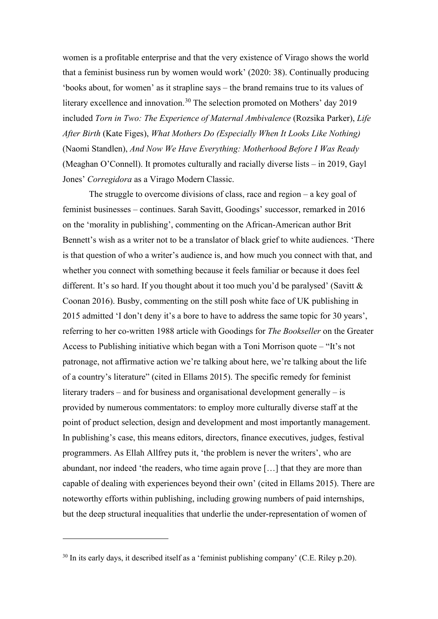women is a profitable enterprise and that the very existence of Virago shows the world that a feminist business run by women would work' (2020: 38). Continually producing 'books about, for women' as it strapline says – the brand remains true to its values of literary excellence and innovation.<sup>[30](#page-24-0)</sup> The selection promoted on Mothers' day 2019 included *Torn in Two: The Experience of Maternal Ambivalence* (Rozsika Parker), *Life After Birth* (Kate Figes), *What Mothers Do (Especially When It Looks Like Nothing)*  (Naomi Standlen), *And Now We Have Everything: Motherhood Before I Was Ready*  (Meaghan O'Connell). It promotes culturally and racially diverse lists – in 2019, Gayl Jones' *Corregidora* as a Virago Modern Classic.

The struggle to overcome divisions of class, race and region – a key goal of feminist businesses – continues. Sarah Savitt, Goodings' successor, remarked in 2016 on the 'morality in publishing', commenting on the African-American author Brit Bennett's wish as a writer not to be a translator of black grief to white audiences. 'There is that question of who a writer's audience is, and how much you connect with that, and whether you connect with something because it feels familiar or because it does feel different. It's so hard. If you thought about it too much you'd be paralysed' (Savitt  $\&$ Coonan 2016). Busby, commenting on the still posh white face of UK publishing in 2015 admitted 'I don't deny it's a bore to have to address the same topic for 30 years', referring to her co-written 1988 article with Goodings for *The Bookseller* on the Greater Access to Publishing initiative which began with a Toni Morrison quote – "It's not patronage, not affirmative action we're talking about here, we're talking about the life of a country's literature" (cited in Ellams 2015). The specific remedy for feminist literary traders – and for business and organisational development generally – is provided by numerous commentators: to employ more culturally diverse staff at the point of product selection, design and development and most importantly management. In publishing's case, this means editors, directors, finance executives, judges, festival programmers. As Ellah Allfrey puts it, 'the problem is never the writers', who are abundant, nor indeed 'the readers, who time again prove […] that they are more than capable of dealing with experiences beyond their own' (cited in Ellams 2015). There are noteworthy efforts within publishing, including growing numbers of paid internships, but the deep structural inequalities that underlie the under-representation of women of

<span id="page-24-0"></span> $30$  In its early days, it described itself as a 'feminist publishing company' (C.E. Riley p.20).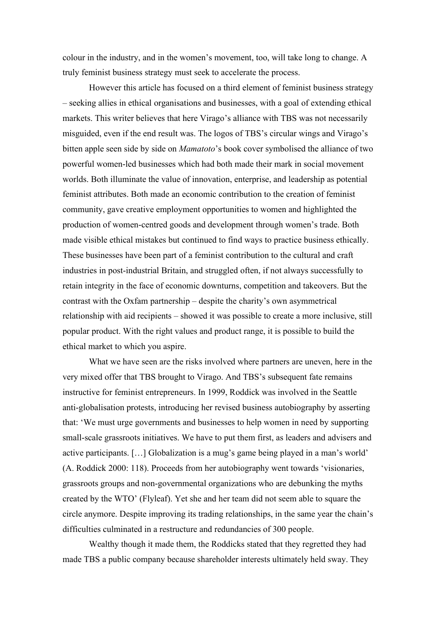colour in the industry, and in the women's movement, too, will take long to change. A truly feminist business strategy must seek to accelerate the process.

However this article has focused on a third element of feminist business strategy – seeking allies in ethical organisations and businesses, with a goal of extending ethical markets. This writer believes that here Virago's alliance with TBS was not necessarily misguided, even if the end result was. The logos of TBS's circular wings and Virago's bitten apple seen side by side on *Mamatoto*'s book cover symbolised the alliance of two powerful women-led businesses which had both made their mark in social movement worlds. Both illuminate the value of innovation, enterprise, and leadership as potential feminist attributes. Both made an economic contribution to the creation of feminist community, gave creative employment opportunities to women and highlighted the production of women-centred goods and development through women's trade. Both made visible ethical mistakes but continued to find ways to practice business ethically. These businesses have been part of a feminist contribution to the cultural and craft industries in post-industrial Britain, and struggled often, if not always successfully to retain integrity in the face of economic downturns, competition and takeovers. But the contrast with the Oxfam partnership – despite the charity's own asymmetrical relationship with aid recipients – showed it was possible to create a more inclusive, still popular product. With the right values and product range, it is possible to build the ethical market to which you aspire.

What we have seen are the risks involved where partners are uneven, here in the very mixed offer that TBS brought to Virago. And TBS's subsequent fate remains instructive for feminist entrepreneurs. In 1999, Roddick was involved in the Seattle anti-globalisation protests, introducing her revised business autobiography by asserting that: 'We must urge governments and businesses to help women in need by supporting small-scale grassroots initiatives. We have to put them first, as leaders and advisers and active participants. […] Globalization is a mug's game being played in a man's world' (A. Roddick 2000: 118). Proceeds from her autobiography went towards 'visionaries, grassroots groups and non-governmental organizations who are debunking the myths created by the WTO' (Flyleaf). Yet she and her team did not seem able to square the circle anymore. Despite improving its trading relationships, in the same year the chain's difficulties culminated in a restructure and redundancies of 300 people.

Wealthy though it made them, the Roddicks stated that they regretted they had made TBS a public company because shareholder interests ultimately held sway. They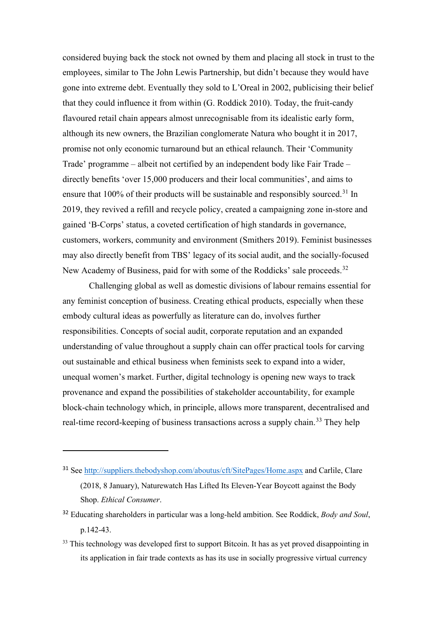considered buying back the stock not owned by them and placing all stock in trust to the employees, similar to The John Lewis Partnership, but didn't because they would have gone into extreme debt. Eventually they sold to L'Oreal in 2002, publicising their belief that they could influence it from within (G. Roddick 2010). Today, the fruit-candy flavoured retail chain appears almost unrecognisable from its idealistic early form, although its new owners, the Brazilian conglomerate Natura who bought it in 2017, promise not only economic turnaround but an ethical relaunch. Their 'Community Trade' programme – albeit not certified by an independent body like Fair Trade – directly benefits 'over 15,000 producers and their local communities', and aims to ensure that 100% of their products will be sustainable and responsibly sourced.<sup>[31](#page-26-0)</sup> In 2019, they revived a refill and recycle policy, created a campaigning zone in-store and gained 'B-Corps' status, a coveted certification of high standards in governance, customers, workers, community and environment (Smithers 2019). Feminist businesses may also directly benefit from TBS' legacy of its social audit, and the socially-focused New Academy of Business, paid for with some of the Roddicks' sale proceeds.<sup>[32](#page-26-1)</sup>

Challenging global as well as domestic divisions of labour remains essential for any feminist conception of business. Creating ethical products, especially when these embody cultural ideas as powerfully as literature can do, involves further responsibilities. Concepts of social audit, corporate reputation and an expanded understanding of value throughout a supply chain can offer practical tools for carving out sustainable and ethical business when feminists seek to expand into a wider, unequal women's market. Further, digital technology is opening new ways to track provenance and expand the possibilities of stakeholder accountability, for example block-chain technology which, in principle, allows more transparent, decentralised and real-time record-keeping of business transactions across a supply chain.<sup>[33](#page-26-2)</sup> They help

- <span id="page-26-0"></span><sup>31</sup> See<http://suppliers.thebodyshop.com/aboutus/cft/SitePages/Home.aspx> and Carlile, Clare (2018, 8 January), Naturewatch Has Lifted Its Eleven-Year Boycott against the Body Shop. *Ethical Consumer*.
- <span id="page-26-1"></span><sup>32</sup> Educating shareholders in particular was a long-held ambition. See Roddick, *Body and Soul*, p.142-43.
- <span id="page-26-2"></span><sup>33</sup> This technology was developed first to support Bitcoin. It has as yet proved disappointing in its application in fair trade contexts as has its use in socially progressive virtual currency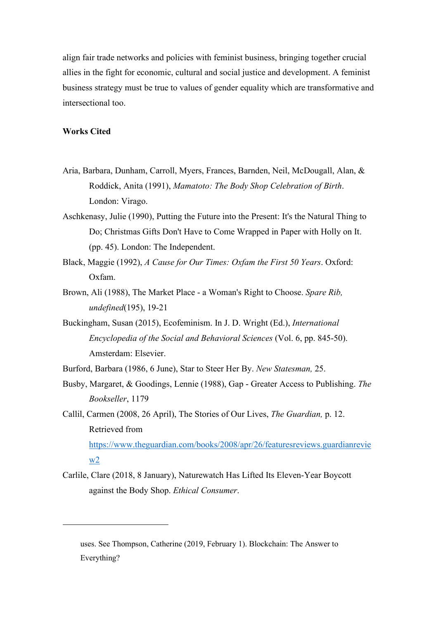align fair trade networks and policies with feminist business, bringing together crucial allies in the fight for economic, cultural and social justice and development. A feminist business strategy must be true to values of gender equality which are transformative and intersectional too.

#### **Works Cited**

 $w2$ 

- Aria, Barbara, Dunham, Carroll, Myers, Frances, Barnden, Neil, McDougall, Alan, & Roddick, Anita (1991), *Mamatoto: The Body Shop Celebration of Birth*. London: Virago.
- Aschkenasy, Julie (1990), Putting the Future into the Present: It's the Natural Thing to Do; Christmas Gifts Don't Have to Come Wrapped in Paper with Holly on It. (pp. 45). London: The Independent.
- Black, Maggie (1992), *A Cause for Our Times: Oxfam the First 50 Years*. Oxford: Oxfam.
- Brown, Ali (1988), The Market Place a Woman's Right to Choose. *Spare Rib, undefined*(195), 19-21
- Buckingham, Susan (2015), Ecofeminism. In J. D. Wright (Ed.), *International Encyclopedia of the Social and Behavioral Sciences* (Vol. 6, pp. 845-50). Amsterdam: Elsevier.
- Burford, Barbara (1986, 6 June), Star to Steer Her By. *New Statesman,* 25.
- Busby, Margaret, & Goodings, Lennie (1988), Gap Greater Access to Publishing. *The Bookseller*, 1179
- Callil, Carmen (2008, 26 April), The Stories of Our Lives, *The Guardian,* p. 12. Retrieved from [https://www.theguardian.com/books/2008/apr/26/featuresreviews.guardianrevie](https://www.theguardian.com/books/2008/apr/26/featuresreviews.guardianreview2)
- Carlile, Clare (2018, 8 January), Naturewatch Has Lifted Its Eleven-Year Boycott against the Body Shop. *Ethical Consumer*.

uses. See Thompson, Catherine (2019, February 1). Blockchain: The Answer to Everything?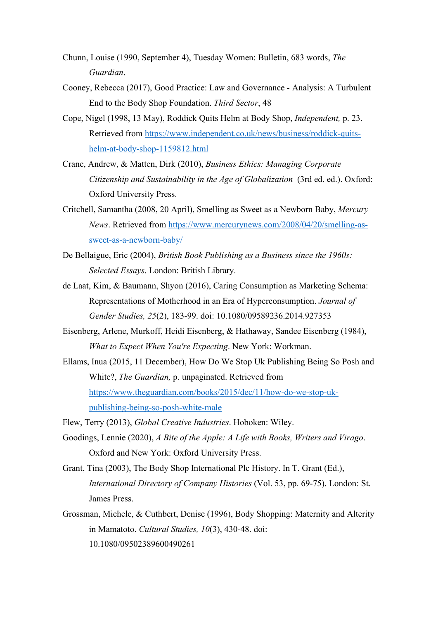- Chunn, Louise (1990, September 4), Tuesday Women: Bulletin, 683 words, *The Guardian*.
- Cooney, Rebecca (2017), Good Practice: Law and Governance Analysis: A Turbulent End to the Body Shop Foundation. *Third Sector*, 48
- Cope, Nigel (1998, 13 May), Roddick Quits Helm at Body Shop, *Independent,* p. 23. Retrieved from [https://www.independent.co.uk/news/business/roddick-quits](https://www.independent.co.uk/news/business/roddick-quits-helm-at-body-shop-1159812.html)[helm-at-body-shop-1159812.html](https://www.independent.co.uk/news/business/roddick-quits-helm-at-body-shop-1159812.html)
- Crane, Andrew, & Matten, Dirk (2010), *Business Ethics: Managing Corporate Citizenship and Sustainability in the Age of Globalization* (3rd ed. ed.). Oxford: Oxford University Press.
- Critchell, Samantha (2008, 20 April), Smelling as Sweet as a Newborn Baby, *Mercury News*. Retrieved from [https://www.mercurynews.com/2008/04/20/smelling-as](https://www.mercurynews.com/2008/04/20/smelling-as-sweet-as-a-newborn-baby/)[sweet-as-a-newborn-baby/](https://www.mercurynews.com/2008/04/20/smelling-as-sweet-as-a-newborn-baby/)
- De Bellaigue, Eric (2004), *British Book Publishing as a Business since the 1960s: Selected Essays*. London: British Library.
- de Laat, Kim, & Baumann, Shyon (2016), Caring Consumption as Marketing Schema: Representations of Motherhood in an Era of Hyperconsumption. *Journal of Gender Studies, 25*(2), 183-99. doi: 10.1080/09589236.2014.927353
- Eisenberg, Arlene, Murkoff, Heidi Eisenberg, & Hathaway, Sandee Eisenberg (1984), *What to Expect When You're Expecting*. New York: Workman.
- Ellams, Inua (2015, 11 December), How Do We Stop Uk Publishing Being So Posh and White?, *The Guardian,* p. unpaginated. Retrieved from [https://www.theguardian.com/books/2015/dec/11/how-do-we-stop-uk](https://www.theguardian.com/books/2015/dec/11/how-do-we-stop-uk-publishing-being-so-posh-white-male)[publishing-being-so-posh-white-male](https://www.theguardian.com/books/2015/dec/11/how-do-we-stop-uk-publishing-being-so-posh-white-male)
- Flew, Terry (2013), *Global Creative Industries*. Hoboken: Wiley.
- Goodings, Lennie (2020), *A Bite of the Apple: A Life with Books, Writers and Virago*. Oxford and New York: Oxford University Press.
- Grant, Tina (2003), The Body Shop International Plc History. In T. Grant (Ed.), *International Directory of Company Histories* (Vol. 53, pp. 69-75). London: St. James Press.
- Grossman, Michele, & Cuthbert, Denise (1996), Body Shopping: Maternity and Alterity in Mamatoto. *Cultural Studies, 10*(3), 430-48. doi: 10.1080/09502389600490261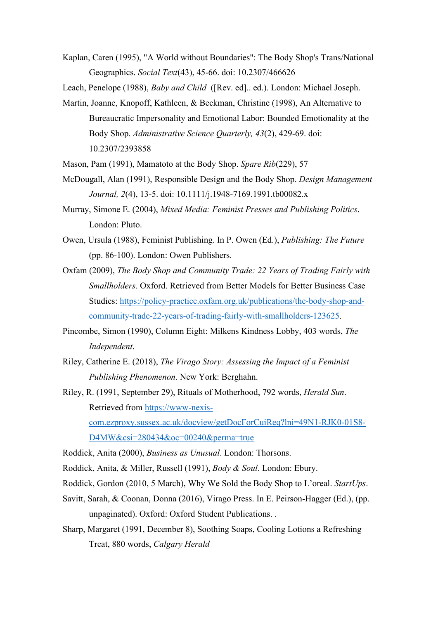Kaplan, Caren (1995), "A World without Boundaries": The Body Shop's Trans/National Geographics. *Social Text*(43), 45-66. doi: 10.2307/466626

Leach, Penelope (1988), *Baby and Child* ([Rev. ed].. ed.). London: Michael Joseph.

- Martin, Joanne, Knopoff, Kathleen, & Beckman, Christine (1998), An Alternative to Bureaucratic Impersonality and Emotional Labor: Bounded Emotionality at the Body Shop. *Administrative Science Quarterly, 43*(2), 429-69. doi: 10.2307/2393858
- Mason, Pam (1991), Mamatoto at the Body Shop. *Spare Rib*(229), 57
- McDougall, Alan (1991), Responsible Design and the Body Shop. *Design Management Journal, 2*(4), 13-5. doi: 10.1111/j.1948-7169.1991.tb00082.x
- Murray, Simone E. (2004), *Mixed Media: Feminist Presses and Publishing Politics*. London: Pluto.
- Owen, Ursula (1988), Feminist Publishing. In P. Owen (Ed.), *Publishing: The Future* (pp. 86-100). London: Owen Publishers.
- Oxfam (2009), *The Body Shop and Community Trade: 22 Years of Trading Fairly with Smallholders*. Oxford. Retrieved from Better Models for Better Business Case Studies: [https://policy-practice.oxfam.org.uk/publications/the-body-shop-and](https://policy-practice.oxfam.org.uk/publications/the-body-shop-and-community-trade-22-years-of-trading-fairly-with-smallholders-123625)[community-trade-22-years-of-trading-fairly-with-smallholders-123625.](https://policy-practice.oxfam.org.uk/publications/the-body-shop-and-community-trade-22-years-of-trading-fairly-with-smallholders-123625)
- Pincombe, Simon (1990), Column Eight: Milkens Kindness Lobby, 403 words, *The Independent*.
- Riley, Catherine E. (2018), *The Virago Story: Assessing the Impact of a Feminist Publishing Phenomenon*. New York: Berghahn.
- Riley, R. (1991, September 29), Rituals of Motherhood, 792 words, *Herald Sun*. Retrieved from [https://www-nexis](https://www-nexis-com.ezproxy.sussex.ac.uk/docview/getDocForCuiReq?lni=49N1-RJK0-01S8-D4MW&csi=280434&oc=00240&perma=true)[com.ezproxy.sussex.ac.uk/docview/getDocForCuiReq?lni=49N1-RJK0-01S8-](https://www-nexis-com.ezproxy.sussex.ac.uk/docview/getDocForCuiReq?lni=49N1-RJK0-01S8-D4MW&csi=280434&oc=00240&perma=true) [D4MW&csi=280434&oc=00240&perma=true](https://www-nexis-com.ezproxy.sussex.ac.uk/docview/getDocForCuiReq?lni=49N1-RJK0-01S8-D4MW&csi=280434&oc=00240&perma=true)
- Roddick, Anita (2000), *Business as Unusual*. London: Thorsons.
- Roddick, Anita, & Miller, Russell (1991), *Body & Soul*. London: Ebury.
- Roddick, Gordon (2010, 5 March), Why We Sold the Body Shop to L'oreal. *StartUps*.
- Savitt, Sarah, & Coonan, Donna (2016), Virago Press. In E. Peirson-Hagger (Ed.), (pp. unpaginated). Oxford: Oxford Student Publications. .
- Sharp, Margaret (1991, December 8), Soothing Soaps, Cooling Lotions a Refreshing Treat, 880 words, *Calgary Herald*